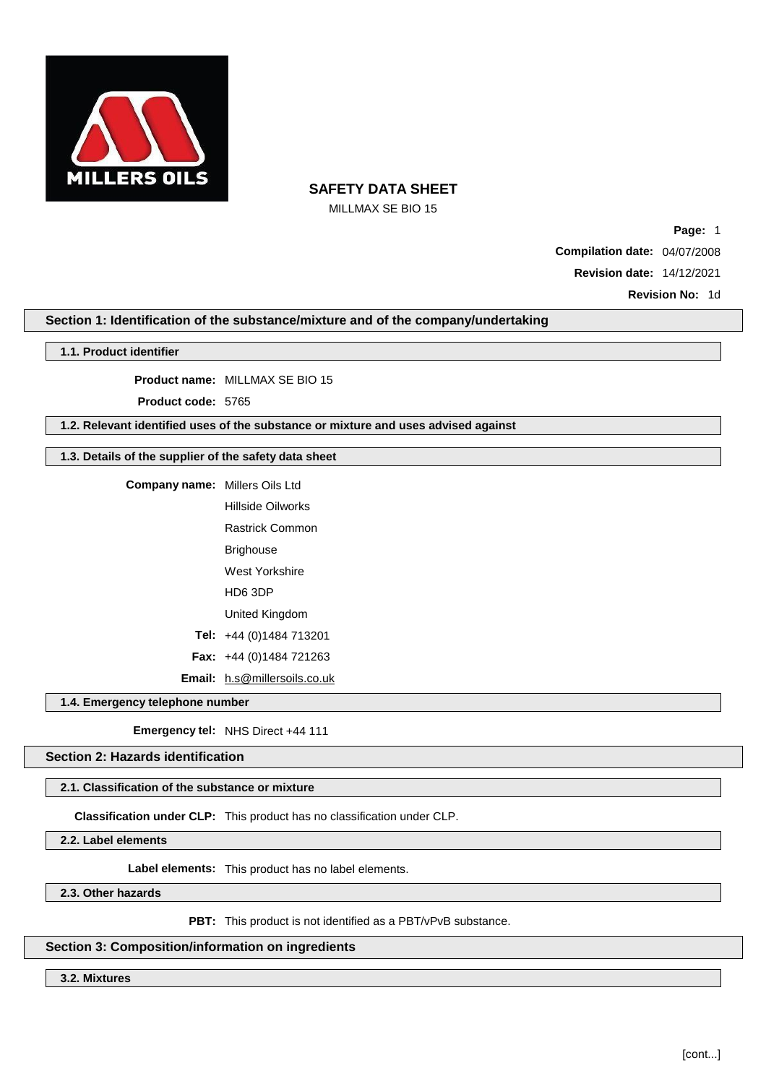

MILLMAX SE BIO 15

**Page:** 1 **Compilation date:** 04/07/2008 **Revision date:** 14/12/2021

**Revision No:** 1d

## **Section 1: Identification of the substance/mixture and of the company/undertaking**

### **1.1. Product identifier**

**Product name:** MILLMAX SE BIO 15

**Product code:** 5765

## **1.2. Relevant identified uses of the substance or mixture and uses advised against**

## **1.3. Details of the supplier of the safety data sheet**

| <b>Company name:</b> Millers Oils Ltd |                                     |
|---------------------------------------|-------------------------------------|
|                                       | Hillside Oilworks                   |
|                                       | <b>Rastrick Common</b>              |
|                                       | Brighouse                           |
|                                       | West Yorkshire                      |
|                                       | HD6 3DP                             |
|                                       | United Kingdom                      |
|                                       | Tel: $+44(0)1484713201$             |
|                                       | <b>Fax:</b> $+44$ (0)1484 721263    |
|                                       | <b>Email:</b> h.s@millersoils.co.uk |

**1.4. Emergency telephone number**

**Emergency tel:** NHS Direct +44 111

## **Section 2: Hazards identification**

### **2.1. Classification of the substance or mixture**

**Classification under CLP:** This product has no classification under CLP.

**2.2. Label elements**

**Label elements:** This product has no label elements.

**2.3. Other hazards**

**PBT:** This product is not identified as a PBT/vPvB substance.

## **Section 3: Composition/information on ingredients**

**3.2. Mixtures**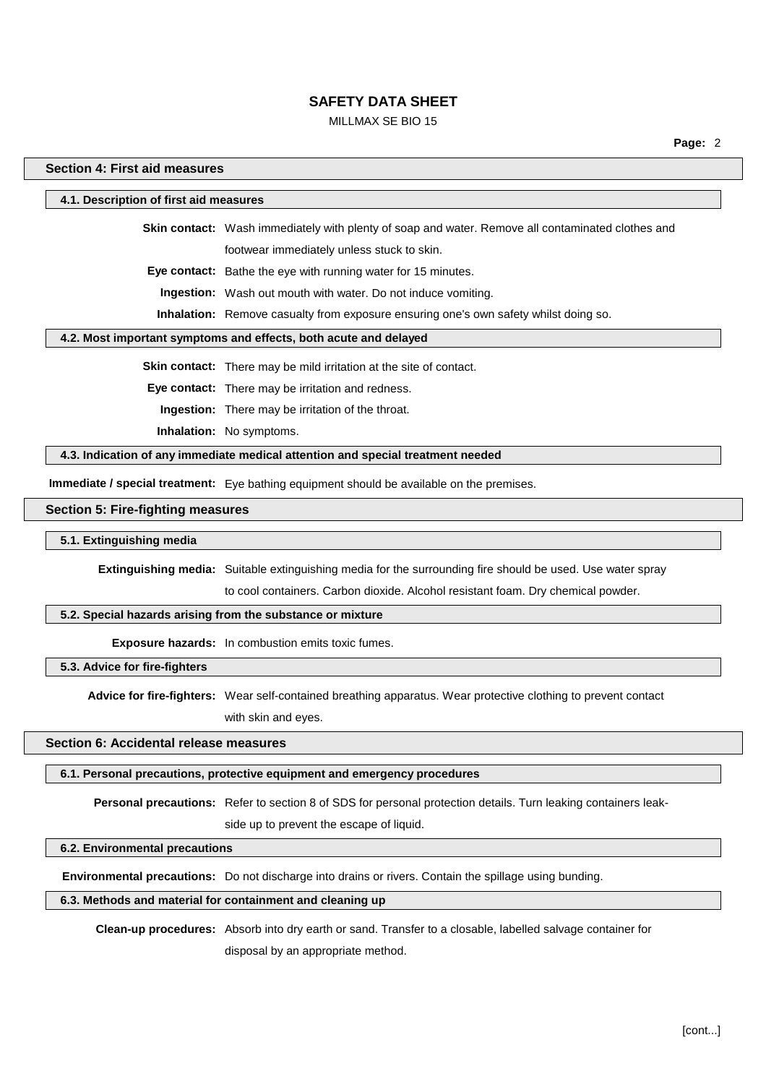### MILLMAX SE BIO 15

**Page:** 2

### **Section 4: First aid measures**

### **4.1. Description of first aid measures**

**Skin contact:** Wash immediately with plenty of soap and water. Remove all contaminated clothes and footwear immediately unless stuck to skin.

**Eye contact:** Bathe the eye with running water for 15 minutes.

**Ingestion:** Wash out mouth with water. Do not induce vomiting.

**Inhalation:** Remove casualty from exposure ensuring one's own safety whilst doing so.

#### **4.2. Most important symptoms and effects, both acute and delayed**

**Skin contact:** There may be mild irritation at the site of contact.

**Eye contact:** There may be irritation and redness.

**Ingestion:** There may be irritation of the throat.

**Inhalation:** No symptoms.

**4.3. Indication of any immediate medical attention and special treatment needed**

**Immediate / special treatment:** Eye bathing equipment should be available on the premises.

#### **Section 5: Fire-fighting measures**

#### **5.1. Extinguishing media**

**Extinguishing media:** Suitable extinguishing media for the surrounding fire should be used. Use water spray

to cool containers. Carbon dioxide. Alcohol resistant foam. Dry chemical powder.

## **5.2. Special hazards arising from the substance or mixture**

**Exposure hazards:** In combustion emits toxic fumes.

**5.3. Advice for fire-fighters**

**Advice for fire-fighters:** Wear self-contained breathing apparatus. Wear protective clothing to prevent contact with skin and eyes.

### **Section 6: Accidental release measures**

#### **6.1. Personal precautions, protective equipment and emergency procedures**

**Personal precautions:** Refer to section 8 of SDS for personal protection details. Turn leaking containers leak-

side up to prevent the escape of liquid.

#### **6.2. Environmental precautions**

**Environmental precautions:** Do not discharge into drains or rivers. Contain the spillage using bunding.

## **6.3. Methods and material for containment and cleaning up**

**Clean-up procedures:** Absorb into dry earth or sand. Transfer to a closable, labelled salvage container for disposal by an appropriate method.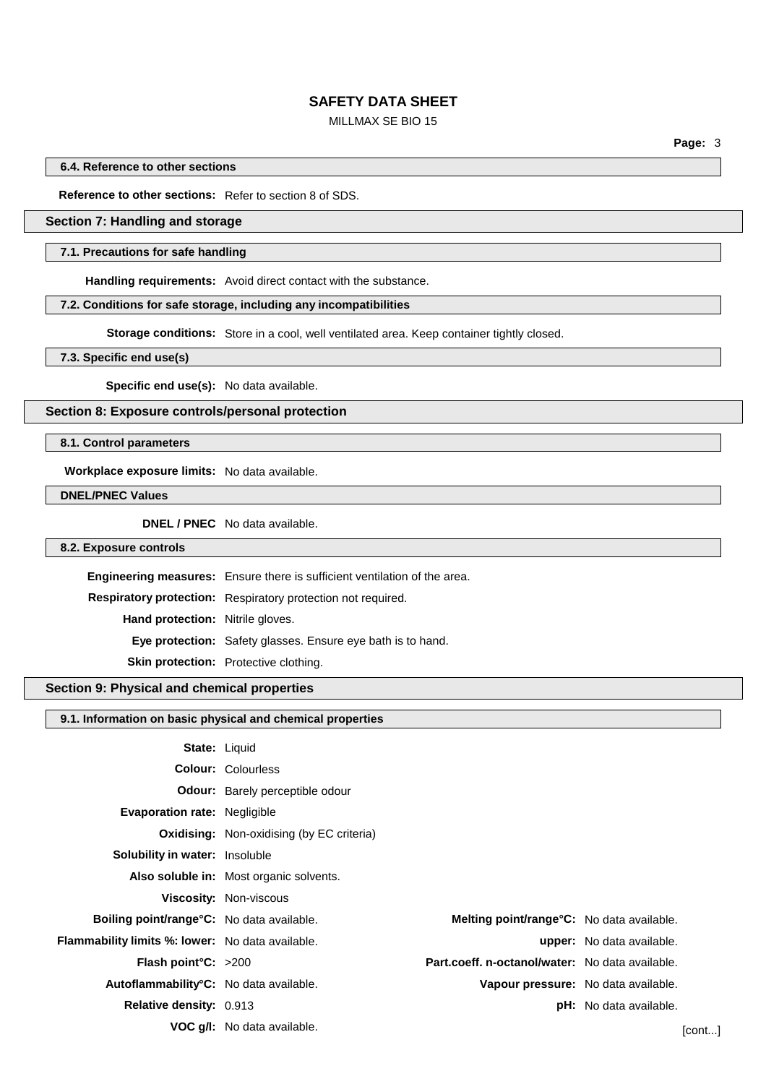## MILLMAX SE BIO 15

**Page:** 3

**6.4. Reference to other sections**

**Reference to other sections:** Refer to section 8 of SDS.

## **Section 7: Handling and storage**

#### **7.1. Precautions for safe handling**

**Handling requirements:** Avoid direct contact with the substance.

#### **7.2. Conditions for safe storage, including any incompatibilities**

**Storage conditions:** Store in a cool, well ventilated area. Keep container tightly closed.

**7.3. Specific end use(s)**

**Specific end use(s):** No data available.

**Section 8: Exposure controls/personal protection**

**8.1. Control parameters**

**Workplace exposure limits:** No data available.

**DNEL/PNEC Values**

**DNEL / PNEC** No data available.

#### **8.2. Exposure controls**

**Engineering measures:** Ensure there is sufficient ventilation of the area.

**Respiratory protection:** Respiratory protection not required.

**Hand protection:** Nitrile gloves.

**Eye protection:** Safety glasses. Ensure eye bath is to hand.

**Skin protection:** Protective clothing.

## **Section 9: Physical and chemical properties**

#### **9.1. Information on basic physical and chemical properties**

| <b>State: Liquid</b>                                |                                                  |                                                 |                                  |        |
|-----------------------------------------------------|--------------------------------------------------|-------------------------------------------------|----------------------------------|--------|
|                                                     | <b>Colour: Colourless</b>                        |                                                 |                                  |        |
|                                                     | <b>Odour:</b> Barely perceptible odour           |                                                 |                                  |        |
| Evaporation rate: Negligible                        |                                                  |                                                 |                                  |        |
|                                                     | <b>Oxidising:</b> Non-oxidising (by EC criteria) |                                                 |                                  |        |
| <b>Solubility in water:</b> Insoluble               |                                                  |                                                 |                                  |        |
|                                                     | Also soluble in: Most organic solvents.          |                                                 |                                  |        |
|                                                     | <b>Viscosity: Non-viscous</b>                    |                                                 |                                  |        |
| <b>Boiling point/range °C:</b> No data available.   |                                                  | Melting point/range°C: No data available.       |                                  |        |
| Flammability limits %: lower: No data available.    |                                                  |                                                 | <b>upper:</b> No data available. |        |
| <b>Flash point °C:</b> $>200$                       |                                                  | Part.coeff. n-octanol/water: No data available. |                                  |        |
| Autoflammability <sup>°</sup> C: No data available. |                                                  | Vapour pressure: No data available.             |                                  |        |
| <b>Relative density: 0.913</b>                      |                                                  |                                                 | <b>pH:</b> No data available.    |        |
|                                                     | <b>VOC g/l:</b> No data available.               |                                                 |                                  | [cont] |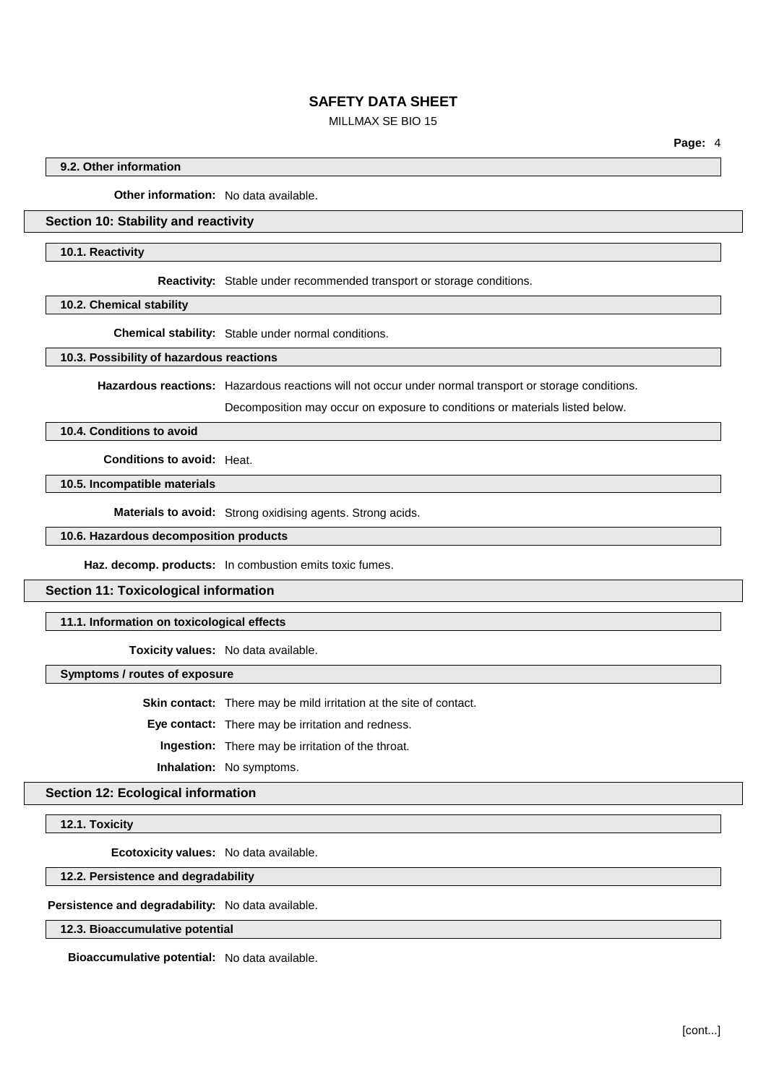## MILLMAX SE BIO 15

**Page:** 4

### **9.2. Other information**

**Other information:** No data available.

### **Section 10: Stability and reactivity**

#### **10.1. Reactivity**

**Reactivity:** Stable under recommended transport or storage conditions.

**10.2. Chemical stability**

**Chemical stability:** Stable under normal conditions.

#### **10.3. Possibility of hazardous reactions**

**Hazardous reactions:** Hazardous reactions will not occur under normal transport or storage conditions.

Decomposition may occur on exposure to conditions or materials listed below.

# **10.4. Conditions to avoid**

**Conditions to avoid:** Heat.

### **10.5. Incompatible materials**

**Materials to avoid:** Strong oxidising agents. Strong acids.

### **10.6. Hazardous decomposition products**

**Haz. decomp. products:** In combustion emits toxic fumes.

#### **Section 11: Toxicological information**

### **11.1. Information on toxicological effects**

**Toxicity values:** No data available.

#### **Symptoms / routes of exposure**

**Skin contact:** There may be mild irritation at the site of contact.

**Eye contact:** There may be irritation and redness.

**Ingestion:** There may be irritation of the throat.

**Inhalation:** No symptoms.

## **Section 12: Ecological information**

**12.1. Toxicity**

**Ecotoxicity values:** No data available.

**12.2. Persistence and degradability**

**Persistence and degradability:** No data available.

**12.3. Bioaccumulative potential**

**Bioaccumulative potential:** No data available.